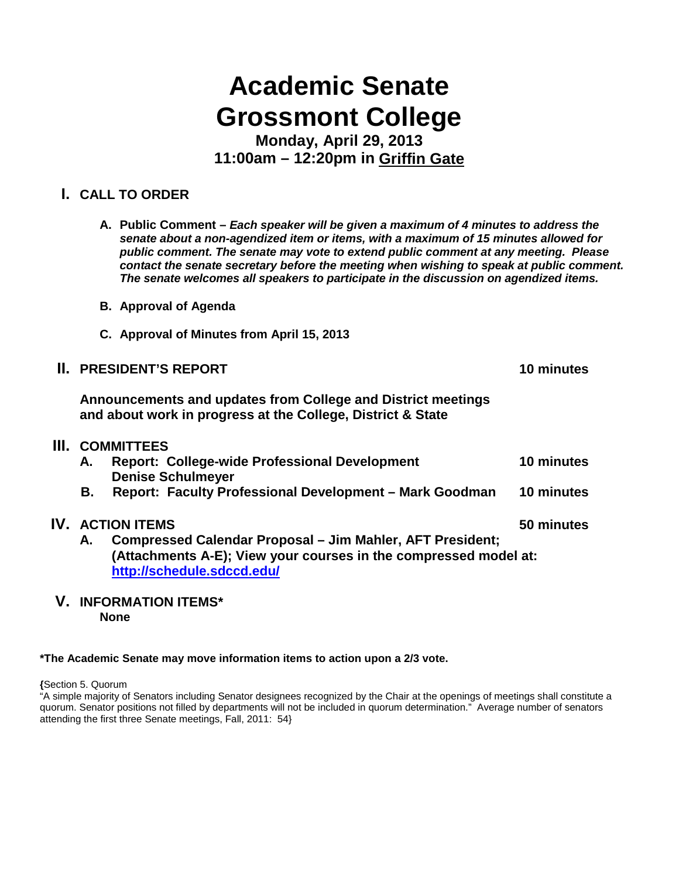# **Academic Senate Grossmont College**

**Monday, April 29, 2013 11:00am – 12:20pm in Griffin Gate**

# **I. CALL TO ORDER**

- **A. Public Comment –** *Each speaker will be given a maximum of 4 minutes to address the senate about a non-agendized item or items, with a maximum of 15 minutes allowed for public comment. The senate may vote to extend public comment at any meeting. Please contact the senate secretary before the meeting when wishing to speak at public comment. The senate welcomes all speakers to participate in the discussion on agendized items.*
- **B. Approval of Agenda**
- **C. Approval of Minutes from April 15, 2013**

|     |                                                                                                                                     | <b>II. PRESIDENT'S REPORT</b>                                                    | 10 minutes |
|-----|-------------------------------------------------------------------------------------------------------------------------------------|----------------------------------------------------------------------------------|------------|
|     | Announcements and updates from College and District meetings<br>and about work in progress at the College, District & State         |                                                                                  |            |
| Ш.  | <b>COMMITTEES</b>                                                                                                                   |                                                                                  |            |
|     | А.                                                                                                                                  | <b>Report: College-wide Professional Development</b><br><b>Denise Schulmeyer</b> | 10 minutes |
|     | В.                                                                                                                                  | Report: Faculty Professional Development - Mark Goodman                          | 10 minutes |
| IV. | <b>ACTION ITEMS</b>                                                                                                                 |                                                                                  | 50 minutes |
|     | Compressed Calendar Proposal – Jim Mahler, AFT President;<br>А.<br>(Attachments A-E); View your courses in the compressed model at: |                                                                                  |            |

### **V. INFORMATION ITEMS\* None**

**<http://schedule.sdccd.edu/>**

#### **\*The Academic Senate may move information items to action upon a 2/3 vote.**

**{**Section 5. Quorum

"A simple majority of Senators including Senator designees recognized by the Chair at the openings of meetings shall constitute a quorum. Senator positions not filled by departments will not be included in quorum determination." Average number of senators attending the first three Senate meetings, Fall, 2011: 54}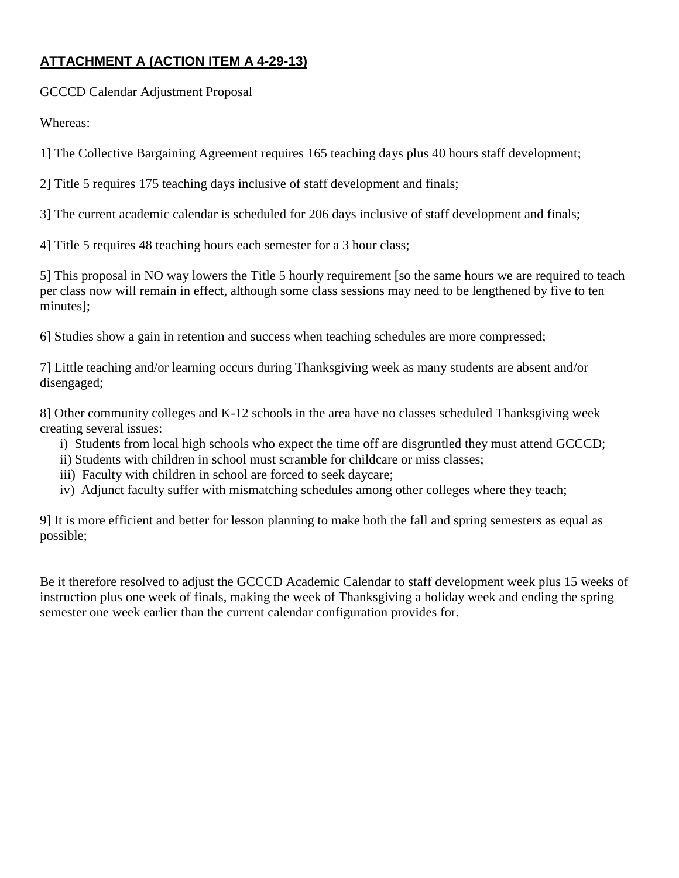# **ATTACHMENT A (ACTION ITEM A 4-29-13)**

GCCCD Calendar Adjustment Proposal

Whereas:

1] The Collective Bargaining Agreement requires 165 teaching days plus 40 hours staff development;

2] Title 5 requires 175 teaching days inclusive of staff development and finals;

3] The current academic calendar is scheduled for 206 days inclusive of staff development and finals;

4] Title 5 requires 48 teaching hours each semester for a 3 hour class;

5] This proposal in NO way lowers the Title 5 hourly requirement [so the same hours we are required to teach per class now will remain in effect, although some class sessions may need to be lengthened by five to ten minutes];

6] Studies show a gain in retention and success when teaching schedules are more compressed;

7] Little teaching and/or learning occurs during Thanksgiving week as many students are absent and/or disengaged;

8] Other community colleges and K-12 schools in the area have no classes scheduled Thanksgiving week creating several issues:

- i) Students from local high schools who expect the time off are disgruntled they must attend GCCCD;
- ii) Students with children in school must scramble for childcare or miss classes;
- iii) Faculty with children in school are forced to seek daycare;
- iv) Adjunct faculty suffer with mismatching schedules among other colleges where they teach;

9] It is more efficient and better for lesson planning to make both the fall and spring semesters as equal as possible;

Be it therefore resolved to adjust the GCCCD Academic Calendar to staff development week plus 15 weeks of instruction plus one week of finals, making the week of Thanksgiving a holiday week and ending the spring semester one week earlier than the current calendar configuration provides for.